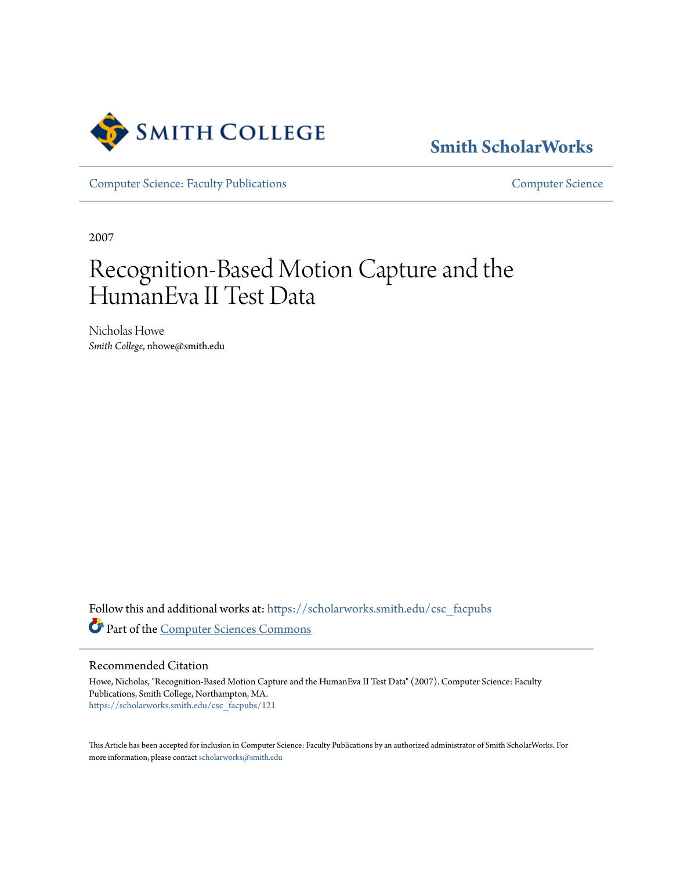

# **[Smith ScholarWorks](https://scholarworks.smith.edu/?utm_source=scholarworks.smith.edu%2Fcsc_facpubs%2F121&utm_medium=PDF&utm_campaign=PDFCoverPages)**

[Computer Science: Faculty Publications](https://scholarworks.smith.edu/csc_facpubs?utm_source=scholarworks.smith.edu%2Fcsc_facpubs%2F121&utm_medium=PDF&utm_campaign=PDFCoverPages) [Computer Science](https://scholarworks.smith.edu/csc?utm_source=scholarworks.smith.edu%2Fcsc_facpubs%2F121&utm_medium=PDF&utm_campaign=PDFCoverPages)

2007

# Recognition-Based Motion Capture and the HumanEva II Test Data

Nicholas Howe *Smith College*, nhowe@smith.edu

Follow this and additional works at: [https://scholarworks.smith.edu/csc\\_facpubs](https://scholarworks.smith.edu/csc_facpubs?utm_source=scholarworks.smith.edu%2Fcsc_facpubs%2F121&utm_medium=PDF&utm_campaign=PDFCoverPages) Part of the [Computer Sciences Commons](http://network.bepress.com/hgg/discipline/142?utm_source=scholarworks.smith.edu%2Fcsc_facpubs%2F121&utm_medium=PDF&utm_campaign=PDFCoverPages)

Recommended Citation

Howe, Nicholas, "Recognition-Based Motion Capture and the HumanEva II Test Data" (2007). Computer Science: Faculty Publications, Smith College, Northampton, MA. [https://scholarworks.smith.edu/csc\\_facpubs/121](https://scholarworks.smith.edu/csc_facpubs/121?utm_source=scholarworks.smith.edu%2Fcsc_facpubs%2F121&utm_medium=PDF&utm_campaign=PDFCoverPages)

This Article has been accepted for inclusion in Computer Science: Faculty Publications by an authorized administrator of Smith ScholarWorks. For more information, please contact [scholarworks@smith.edu](mailto:scholarworks@smith.edu)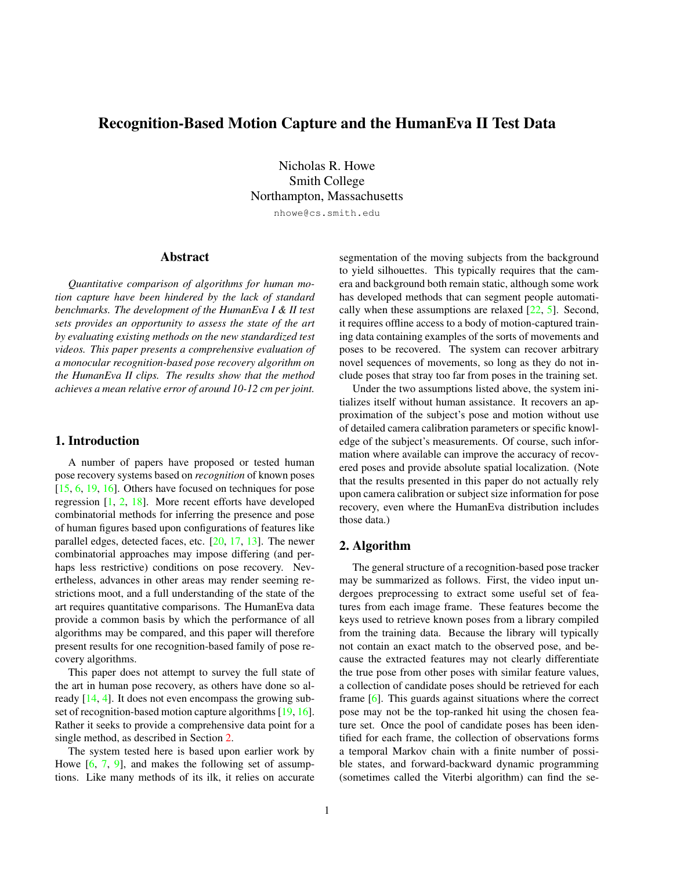# <span id="page-1-1"></span>Recognition-Based Motion Capture and the HumanEva II Test Data

Nicholas R. Howe Smith College Northampton, Massachusetts nhowe@cs.smith.edu

Abstract

*Quantitative comparison of algorithms for human motion capture have been hindered by the lack of standard benchmarks. The development of the HumanEva I & II test sets provides an opportunity to assess the state of the art by evaluating existing methods on the new standardized test videos. This paper presents a comprehensive evaluation of a monocular recognition-based pose recovery algorithm on the HumanEva II clips. The results show that the method achieves a mean relative error of around 10-12 cm per joint.*

### 1. Introduction

A number of papers have proposed or tested human pose recovery systems based on *recognition* of known poses [\[15,](#page-8-0) [6,](#page-7-0) [19,](#page-8-1) [16\]](#page-8-2). Others have focused on techniques for pose regression [\[1,](#page-7-1) [2,](#page-7-2) [18\]](#page-8-3). More recent efforts have developed combinatorial methods for inferring the presence and pose of human figures based upon configurations of features like parallel edges, detected faces, etc. [\[20,](#page-8-4) [17,](#page-8-5) [13\]](#page-8-6). The newer combinatorial approaches may impose differing (and perhaps less restrictive) conditions on pose recovery. Nevertheless, advances in other areas may render seeming restrictions moot, and a full understanding of the state of the art requires quantitative comparisons. The HumanEva data provide a common basis by which the performance of all algorithms may be compared, and this paper will therefore present results for one recognition-based family of pose recovery algorithms.

This paper does not attempt to survey the full state of the art in human pose recovery, as others have done so already [\[14,](#page-8-7) [4\]](#page-7-3). It does not even encompass the growing sub-set of recognition-based motion capture algorithms [\[19,](#page-8-1) [16\]](#page-8-2). Rather it seeks to provide a comprehensive data point for a single method, as described in Section [2.](#page-1-0)

The system tested here is based upon earlier work by Howe [\[6,](#page-7-0) [7,](#page-7-4) [9\]](#page-7-5), and makes the following set of assumptions. Like many methods of its ilk, it relies on accurate segmentation of the moving subjects from the background to yield silhouettes. This typically requires that the camera and background both remain static, although some work has developed methods that can segment people automatically when these assumptions are relaxed [\[22,](#page-8-8) [5\]](#page-7-6). Second, it requires offline access to a body of motion-captured training data containing examples of the sorts of movements and poses to be recovered. The system can recover arbitrary novel sequences of movements, so long as they do not include poses that stray too far from poses in the training set.

Under the two assumptions listed above, the system initializes itself without human assistance. It recovers an approximation of the subject's pose and motion without use of detailed camera calibration parameters or specific knowledge of the subject's measurements. Of course, such information where available can improve the accuracy of recovered poses and provide absolute spatial localization. (Note that the results presented in this paper do not actually rely upon camera calibration or subject size information for pose recovery, even where the HumanEva distribution includes those data.)

# <span id="page-1-0"></span>2. Algorithm

The general structure of a recognition-based pose tracker may be summarized as follows. First, the video input undergoes preprocessing to extract some useful set of features from each image frame. These features become the keys used to retrieve known poses from a library compiled from the training data. Because the library will typically not contain an exact match to the observed pose, and because the extracted features may not clearly differentiate the true pose from other poses with similar feature values, a collection of candidate poses should be retrieved for each frame [\[6\]](#page-7-0). This guards against situations where the correct pose may not be the top-ranked hit using the chosen feature set. Once the pool of candidate poses has been identified for each frame, the collection of observations forms a temporal Markov chain with a finite number of possible states, and forward-backward dynamic programming (sometimes called the Viterbi algorithm) can find the se-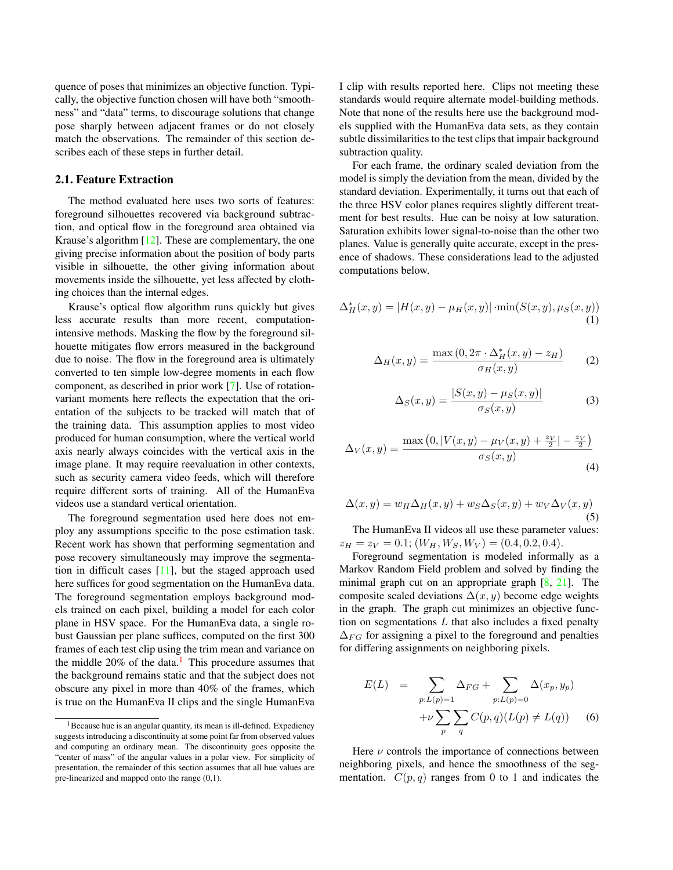<span id="page-2-1"></span>quence of poses that minimizes an objective function. Typically, the objective function chosen will have both "smoothness" and "data" terms, to discourage solutions that change pose sharply between adjacent frames or do not closely match the observations. The remainder of this section describes each of these steps in further detail.

# 2.1. Feature Extraction

The method evaluated here uses two sorts of features: foreground silhouettes recovered via background subtraction, and optical flow in the foreground area obtained via Krause's algorithm [\[12\]](#page-8-9). These are complementary, the one giving precise information about the position of body parts visible in silhouette, the other giving information about movements inside the silhouette, yet less affected by clothing choices than the internal edges.

Krause's optical flow algorithm runs quickly but gives less accurate results than more recent, computationintensive methods. Masking the flow by the foreground silhouette mitigates flow errors measured in the background due to noise. The flow in the foreground area is ultimately converted to ten simple low-degree moments in each flow component, as described in prior work [\[7\]](#page-7-4). Use of rotationvariant moments here reflects the expectation that the orientation of the subjects to be tracked will match that of the training data. This assumption applies to most video produced for human consumption, where the vertical world axis nearly always coincides with the vertical axis in the image plane. It may require reevaluation in other contexts, such as security camera video feeds, which will therefore require different sorts of training. All of the HumanEva videos use a standard vertical orientation.

The foreground segmentation used here does not employ any assumptions specific to the pose estimation task. Recent work has shown that performing segmentation and pose recovery simultaneously may improve the segmentation in difficult cases [\[11\]](#page-8-10), but the staged approach used here suffices for good segmentation on the HumanEva data. The foreground segmentation employs background models trained on each pixel, building a model for each color plane in HSV space. For the HumanEva data, a single robust Gaussian per plane suffices, computed on the first 300 frames of each test clip using the trim mean and variance on the middle  $20\%$  of the data.<sup>[1](#page-2-0)</sup> This procedure assumes that the background remains static and that the subject does not obscure any pixel in more than 40% of the frames, which is true on the HumanEva II clips and the single HumanEva

I clip with results reported here. Clips not meeting these standards would require alternate model-building methods. Note that none of the results here use the background models supplied with the HumanEva data sets, as they contain subtle dissimilarities to the test clips that impair background subtraction quality.

For each frame, the ordinary scaled deviation from the model is simply the deviation from the mean, divided by the standard deviation. Experimentally, it turns out that each of the three HSV color planes requires slightly different treatment for best results. Hue can be noisy at low saturation. Saturation exhibits lower signal-to-noise than the other two planes. Value is generally quite accurate, except in the presence of shadows. These considerations lead to the adjusted computations below.

$$
\Delta_H^*(x, y) = |H(x, y) - \mu_H(x, y)| \cdot \min(S(x, y), \mu_S(x, y))
$$
\n(1)

$$
\Delta_H(x,y) = \frac{\max(0, 2\pi \cdot \Delta_H^*(x,y) - z_H)}{\sigma_H(x,y)}\tag{2}
$$

$$
\Delta_S(x,y) = \frac{|S(x,y) - \mu_S(x,y)|}{\sigma_S(x,y)}
$$
(3)

$$
\Delta_V(x,y) = \frac{\max\left(0, |V(x,y) - \mu_V(x,y) + \frac{z_V}{2}| - \frac{z_V}{2}\right)}{\sigma_S(x,y)}
$$
\n(4)

$$
\Delta(x, y) = w_H \Delta_H(x, y) + w_S \Delta_S(x, y) + w_V \Delta_V(x, y)
$$
\n(5)

The HumanEva II videos all use these parameter values:  $z_H = z_V = 0.1$ ;  $(W_H, W_S, W_V) = (0.4, 0.2, 0.4)$ .

Foreground segmentation is modeled informally as a Markov Random Field problem and solved by finding the minimal graph cut on an appropriate graph [\[8,](#page-7-7) [21\]](#page-8-11). The composite scaled deviations  $\Delta(x, y)$  become edge weights in the graph. The graph cut minimizes an objective function on segmentations  $L$  that also includes a fixed penalty  $\Delta_{FG}$  for assigning a pixel to the foreground and penalties for differing assignments on neighboring pixels.

$$
E(L) = \sum_{p:L(p)=1} \Delta_{FG} + \sum_{p:L(p)=0} \Delta(x_p, y_p)
$$

$$
+ \nu \sum_{p} \sum_{q} C(p, q)(L(p) \neq L(q)) \qquad (6)
$$

Here  $\nu$  controls the importance of connections between neighboring pixels, and hence the smoothness of the segmentation.  $C(p,q)$  ranges from 0 to 1 and indicates the

<span id="page-2-0"></span> $1$ Because hue is an angular quantity, its mean is ill-defined. Expediency suggests introducing a discontinuity at some point far from observed values and computing an ordinary mean. The discontinuity goes opposite the "center of mass" of the angular values in a polar view. For simplicity of presentation, the remainder of this section assumes that all hue values are pre-linearized and mapped onto the range (0,1).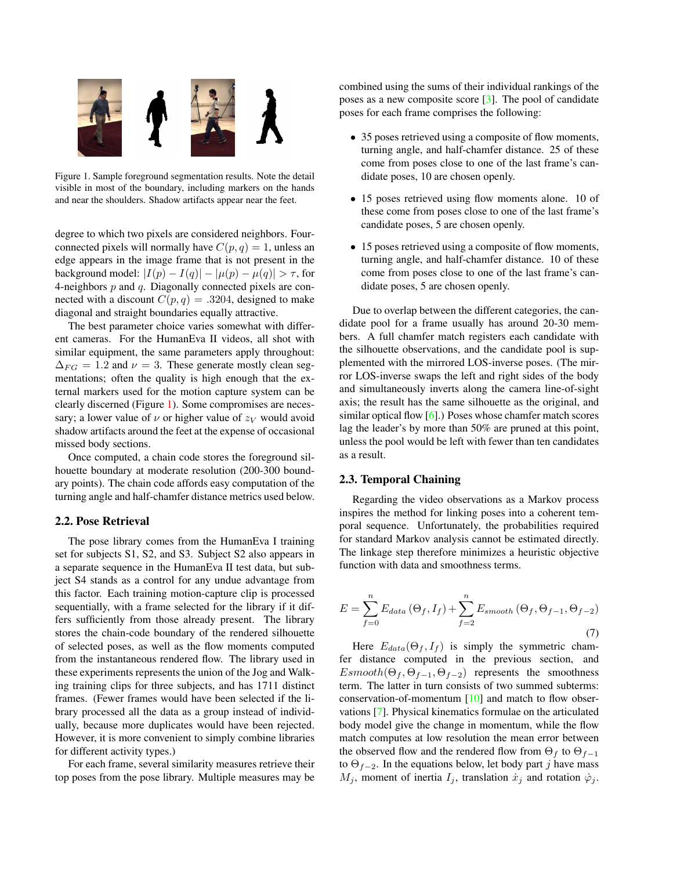<span id="page-3-1"></span>

<span id="page-3-0"></span>Figure 1. Sample foreground segmentation results. Note the detail visible in most of the boundary, including markers on the hands and near the shoulders. Shadow artifacts appear near the feet.

degree to which two pixels are considered neighbors. Fourconnected pixels will normally have  $C(p, q) = 1$ , unless an edge appears in the image frame that is not present in the background model:  $|I(p) - I(q)| - |\mu(p) - \mu(q)| > \tau$ , for 4-neighbors  $p$  and  $q$ . Diagonally connected pixels are connected with a discount  $C(p, q) = .3204$ , designed to make diagonal and straight boundaries equally attractive.

The best parameter choice varies somewhat with different cameras. For the HumanEva II videos, all shot with similar equipment, the same parameters apply throughout:  $\Delta_{FG} = 1.2$  and  $\nu = 3$ . These generate mostly clean segmentations; often the quality is high enough that the external markers used for the motion capture system can be clearly discerned (Figure [1\)](#page-3-0). Some compromises are necessary; a lower value of  $\nu$  or higher value of  $z_V$  would avoid shadow artifacts around the feet at the expense of occasional missed body sections.

Once computed, a chain code stores the foreground silhouette boundary at moderate resolution (200-300 boundary points). The chain code affords easy computation of the turning angle and half-chamfer distance metrics used below.

#### 2.2. Pose Retrieval

The pose library comes from the HumanEva I training set for subjects S1, S2, and S3. Subject S2 also appears in a separate sequence in the HumanEva II test data, but subject S4 stands as a control for any undue advantage from this factor. Each training motion-capture clip is processed sequentially, with a frame selected for the library if it differs sufficiently from those already present. The library stores the chain-code boundary of the rendered silhouette of selected poses, as well as the flow moments computed from the instantaneous rendered flow. The library used in these experiments represents the union of the Jog and Walking training clips for three subjects, and has 1711 distinct frames. (Fewer frames would have been selected if the library processed all the data as a group instead of individually, because more duplicates would have been rejected. However, it is more convenient to simply combine libraries for different activity types.)

For each frame, several similarity measures retrieve their top poses from the pose library. Multiple measures may be combined using the sums of their individual rankings of the poses as a new composite score [\[3\]](#page-7-8). The pool of candidate poses for each frame comprises the following:

- 35 poses retrieved using a composite of flow moments, turning angle, and half-chamfer distance. 25 of these come from poses close to one of the last frame's candidate poses, 10 are chosen openly.
- 15 poses retrieved using flow moments alone. 10 of these come from poses close to one of the last frame's candidate poses, 5 are chosen openly.
- 15 poses retrieved using a composite of flow moments, turning angle, and half-chamfer distance. 10 of these come from poses close to one of the last frame's candidate poses, 5 are chosen openly.

Due to overlap between the different categories, the candidate pool for a frame usually has around 20-30 members. A full chamfer match registers each candidate with the silhouette observations, and the candidate pool is supplemented with the mirrored LOS-inverse poses. (The mirror LOS-inverse swaps the left and right sides of the body and simultaneously inverts along the camera line-of-sight axis; the result has the same silhouette as the original, and similar optical flow [\[6\]](#page-7-0).) Poses whose chamfer match scores lag the leader's by more than 50% are pruned at this point, unless the pool would be left with fewer than ten candidates as a result.

#### 2.3. Temporal Chaining

Regarding the video observations as a Markov process inspires the method for linking poses into a coherent temporal sequence. Unfortunately, the probabilities required for standard Markov analysis cannot be estimated directly. The linkage step therefore minimizes a heuristic objective function with data and smoothness terms.

$$
E = \sum_{f=0}^{n} E_{data} (\Theta_f, I_f) + \sum_{f=2}^{n} E_{smooth} (\Theta_f, \Theta_{f-1}, \Theta_{f-2})
$$
\n(7)

Here  $E_{data}(\Theta_f, I_f)$  is simply the symmetric chamfer distance computed in the previous section, and  $Esmooth(\Theta_f, \Theta_{f-1}, \Theta_{f-2})$  represents the smoothness term. The latter in turn consists of two summed subterms: conservation-of-momentum [\[10\]](#page-7-9) and match to flow observations [\[7\]](#page-7-4). Physical kinematics formulae on the articulated body model give the change in momentum, while the flow match computes at low resolution the mean error between the observed flow and the rendered flow from  $\Theta_f$  to  $\Theta_{f-1}$ to  $\Theta_{f-2}$ . In the equations below, let body part j have mass  $M_j$ , moment of inertia  $I_j$ , translation  $\dot{x}_j$  and rotation  $\dot{\varphi}_j$ .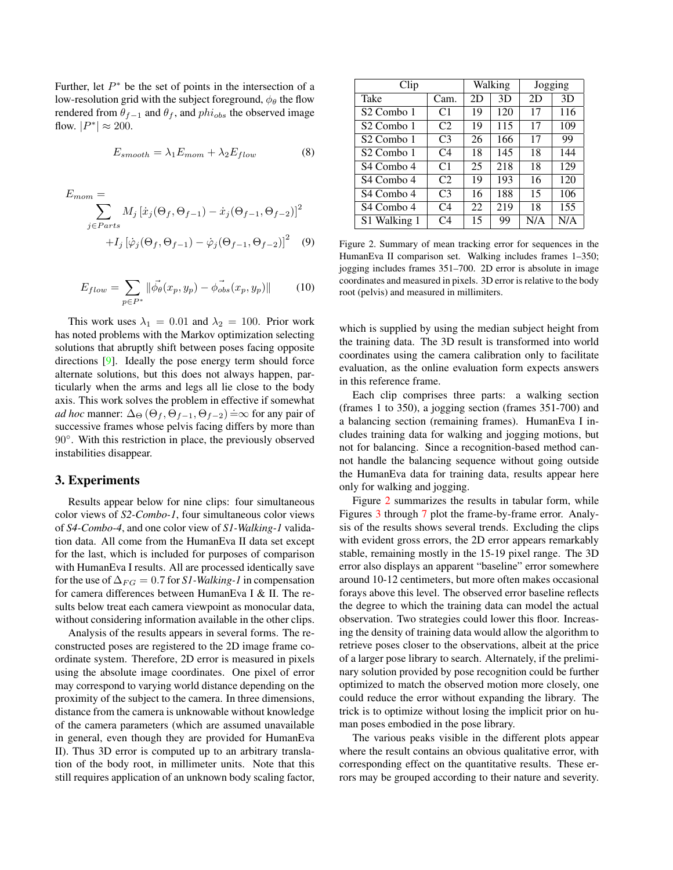<span id="page-4-1"></span>Further, let  $P^*$  be the set of points in the intersection of a low-resolution grid with the subject foreground,  $\phi_{\theta}$  the flow rendered from  $\theta_{f-1}$  and  $\theta_f$ , and  $phi_{obs}$  the observed image flow.  $|P^*| \approx 200$ .

$$
E_{smooth} = \lambda_1 E_{mom} + \lambda_2 E_{flow} \tag{8}
$$

$$
E_{mom} = \sum_{j \in Parts} M_j \left[ \dot{x}_j(\Theta_f, \Theta_{f-1}) - \dot{x}_j(\Theta_{f-1}, \Theta_{f-2}) \right]^2 + I_j \left[ \dot{\varphi}_j(\Theta_f, \Theta_{f-1}) - \dot{\varphi}_j(\Theta_{f-1}, \Theta_{f-2}) \right]^2 \tag{9}
$$

$$
E_{flow} = \sum_{p \in P^*} \|\vec{\phi_\theta}(x_p, y_p) - \vec{\phi_{obs}}(x_p, y_p)\| \tag{10}
$$

This work uses  $\lambda_1 = 0.01$  and  $\lambda_2 = 100$ . Prior work has noted problems with the Markov optimization selecting solutions that abruptly shift between poses facing opposite directions [\[9\]](#page-7-5). Ideally the pose energy term should force alternate solutions, but this does not always happen, particularly when the arms and legs all lie close to the body axis. This work solves the problem in effective if somewhat *ad hoc* manner:  $\Delta_{\Theta}(\Theta_f, \Theta_{f-1}, \Theta_{f-2}) = \infty$  for any pair of successive frames whose pelvis facing differs by more than 90°. With this restriction in place, the previously observed instabilities disappear.

#### 3. Experiments

Results appear below for nine clips: four simultaneous color views of *S2-Combo-1*, four simultaneous color views of *S4-Combo-4*, and one color view of *S1-Walking-1* validation data. All come from the HumanEva II data set except for the last, which is included for purposes of comparison with HumanEva I results. All are processed identically save for the use of  $\Delta_{FG} = 0.7$  for *S1*-Walking-1 in compensation for camera differences between HumanEva I & II. The results below treat each camera viewpoint as monocular data, without considering information available in the other clips.

Analysis of the results appears in several forms. The reconstructed poses are registered to the 2D image frame coordinate system. Therefore, 2D error is measured in pixels using the absolute image coordinates. One pixel of error may correspond to varying world distance depending on the proximity of the subject to the camera. In three dimensions, distance from the camera is unknowable without knowledge of the camera parameters (which are assumed unavailable in general, even though they are provided for HumanEva II). Thus 3D error is computed up to an arbitrary translation of the body root, in millimeter units. Note that this still requires application of an unknown body scaling factor,

| Clip                   |                | Walking |     | Jogging |     |
|------------------------|----------------|---------|-----|---------|-----|
| Take                   | Cam.           | 2D      | 3D  | 2D      | 3D  |
| S <sub>2</sub> Combo 1 | C1             | 19      | 120 | 17      | 116 |
| S <sub>2</sub> Combo 1 | C2             | 19      | 115 | 17      | 109 |
| S <sub>2</sub> Combo 1 | C3             | 26      | 166 | 17      | 99  |
| S <sub>2</sub> Combo 1 | C4             | 18      | 145 | 18      | 144 |
| S4 Combo 4             | C <sub>1</sub> | 25      | 218 | 18      | 129 |
| S4 Combo 4             | C <sub>2</sub> | 19      | 193 | 16      | 120 |
| S4 Combo 4             | C <sub>3</sub> | 16      | 188 | 15      | 106 |
| S4 Combo 4             | C <sub>4</sub> | 22      | 219 | 18      | 155 |
| S1 Walking 1           | C4             | 15      | 99  | N/A     | N/A |

<span id="page-4-0"></span>Figure 2. Summary of mean tracking error for sequences in the HumanEva II comparison set. Walking includes frames 1–350; jogging includes frames 351–700. 2D error is absolute in image coordinates and measured in pixels. 3D error is relative to the body root (pelvis) and measured in millimiters.

which is supplied by using the median subject height from the training data. The 3D result is transformed into world coordinates using the camera calibration only to facilitate evaluation, as the online evaluation form expects answers in this reference frame.

Each clip comprises three parts: a walking section (frames 1 to 350), a jogging section (frames 351-700) and a balancing section (remaining frames). HumanEva I includes training data for walking and jogging motions, but not for balancing. Since a recognition-based method cannot handle the balancing sequence without going outside the HumanEva data for training data, results appear here only for walking and jogging.

Figure [2](#page-4-0) summarizes the results in tabular form, while Figures [3](#page-5-0) through [7](#page-7-10) plot the frame-by-frame error. Analysis of the results shows several trends. Excluding the clips with evident gross errors, the 2D error appears remarkably stable, remaining mostly in the 15-19 pixel range. The 3D error also displays an apparent "baseline" error somewhere around 10-12 centimeters, but more often makes occasional forays above this level. The observed error baseline reflects the degree to which the training data can model the actual observation. Two strategies could lower this floor. Increasing the density of training data would allow the algorithm to retrieve poses closer to the observations, albeit at the price of a larger pose library to search. Alternately, if the preliminary solution provided by pose recognition could be further optimized to match the observed motion more closely, one could reduce the error without expanding the library. The trick is to optimize without losing the implicit prior on human poses embodied in the pose library.

The various peaks visible in the different plots appear where the result contains an obvious qualitative error, with corresponding effect on the quantitative results. These errors may be grouped according to their nature and severity.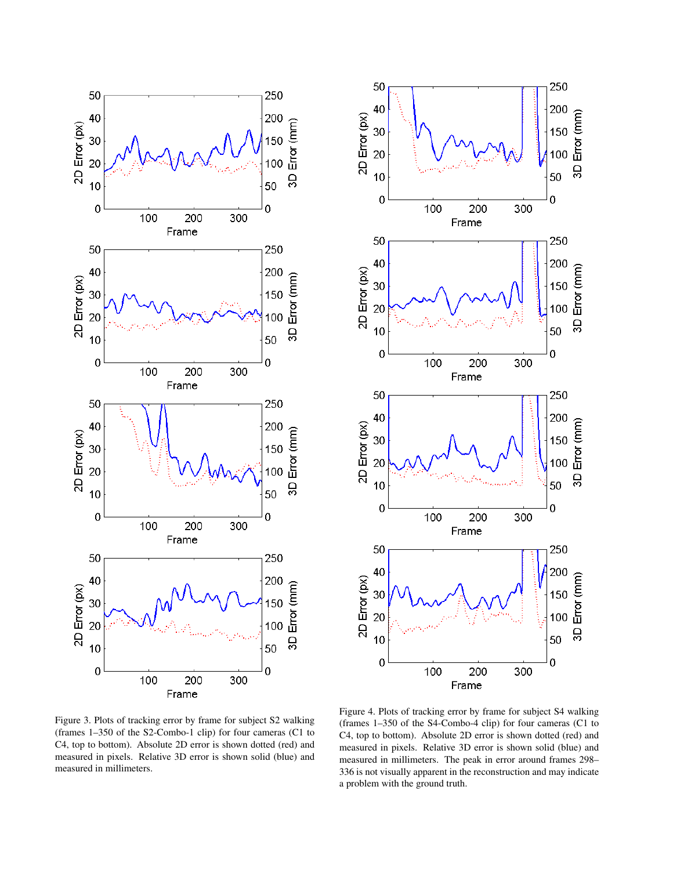



<span id="page-5-0"></span>Figure 3. Plots of tracking error by frame for subject S2 walking (frames 1–350 of the S2-Combo-1 clip) for four cameras (C1 to C4, top to bottom). Absolute 2D error is shown dotted (red) and measured in pixels. Relative 3D error is shown solid (blue) and measured in millimeters.

Figure 4. Plots of tracking error by frame for subject S4 walking (frames 1–350 of the S4-Combo-4 clip) for four cameras (C1 to C4, top to bottom). Absolute 2D error is shown dotted (red) and measured in pixels. Relative 3D error is shown solid (blue) and measured in millimeters. The peak in error around frames 298– 336 is not visually apparent in the reconstruction and may indicate a problem with the ground truth.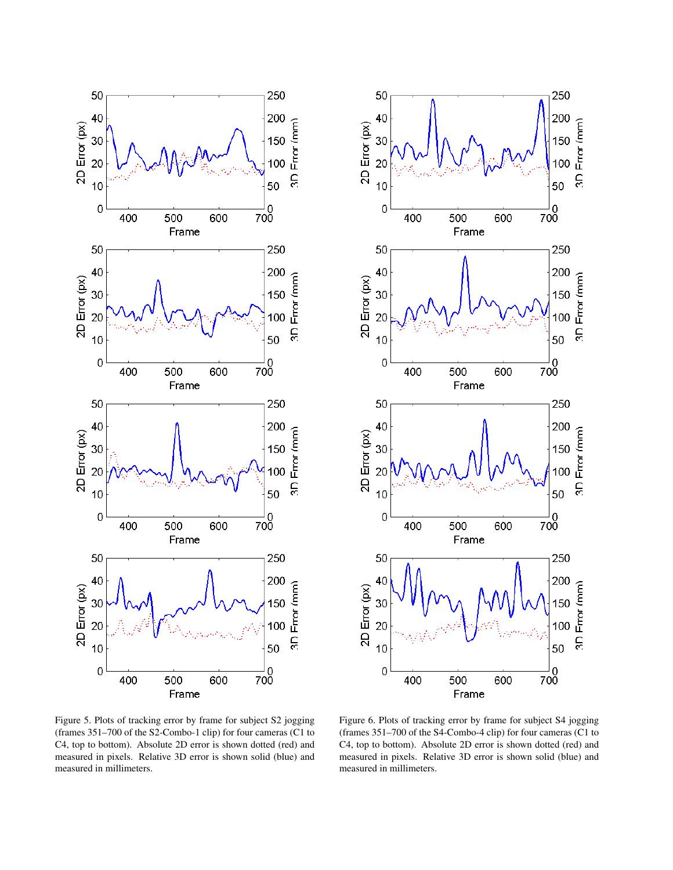



Figure 5. Plots of tracking error by frame for subject S2 jogging (frames 351–700 of the S2-Combo-1 clip) for four cameras (C1 to C4, top to bottom). Absolute 2D error is shown dotted (red) and measured in pixels. Relative 3D error is shown solid (blue) and measured in millimeters.

Figure 6. Plots of tracking error by frame for subject S4 jogging (frames 351–700 of the S4-Combo-4 clip) for four cameras (C1 to C4, top to bottom). Absolute 2D error is shown dotted (red) and measured in pixels. Relative 3D error is shown solid (blue) and measured in millimeters.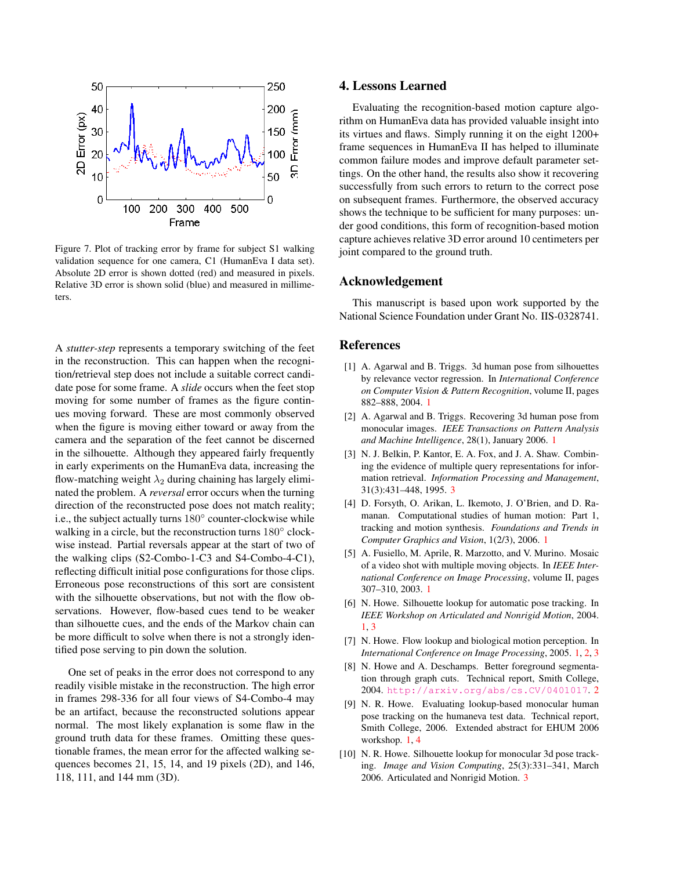

<span id="page-7-10"></span>Figure 7. Plot of tracking error by frame for subject S1 walking validation sequence for one camera, C1 (HumanEva I data set). Absolute 2D error is shown dotted (red) and measured in pixels. Relative 3D error is shown solid (blue) and measured in millimeters.

A *stutter-step* represents a temporary switching of the feet in the reconstruction. This can happen when the recognition/retrieval step does not include a suitable correct candidate pose for some frame. A *slide* occurs when the feet stop moving for some number of frames as the figure continues moving forward. These are most commonly observed when the figure is moving either toward or away from the camera and the separation of the feet cannot be discerned in the silhouette. Although they appeared fairly frequently in early experiments on the HumanEva data, increasing the flow-matching weight  $\lambda_2$  during chaining has largely eliminated the problem. A *reversal* error occurs when the turning direction of the reconstructed pose does not match reality; i.e., the subject actually turns 180◦ counter-clockwise while walking in a circle, but the reconstruction turns 180° clockwise instead. Partial reversals appear at the start of two of the walking clips (S2-Combo-1-C3 and S4-Combo-4-C1), reflecting difficult initial pose configurations for those clips. Erroneous pose reconstructions of this sort are consistent with the silhouette observations, but not with the flow observations. However, flow-based cues tend to be weaker than silhouette cues, and the ends of the Markov chain can be more difficult to solve when there is not a strongly identified pose serving to pin down the solution.

One set of peaks in the error does not correspond to any readily visible mistake in the reconstruction. The high error in frames 298-336 for all four views of S4-Combo-4 may be an artifact, because the reconstructed solutions appear normal. The most likely explanation is some flaw in the ground truth data for these frames. Omitting these questionable frames, the mean error for the affected walking sequences becomes 21, 15, 14, and 19 pixels (2D), and 146, 118, 111, and 144 mm (3D).

# 4. Lessons Learned

Evaluating the recognition-based motion capture algorithm on HumanEva data has provided valuable insight into its virtues and flaws. Simply running it on the eight 1200+ frame sequences in HumanEva II has helped to illuminate common failure modes and improve default parameter settings. On the other hand, the results also show it recovering successfully from such errors to return to the correct pose on subsequent frames. Furthermore, the observed accuracy shows the technique to be sufficient for many purposes: under good conditions, this form of recognition-based motion capture achieves relative 3D error around 10 centimeters per joint compared to the ground truth.

# Acknowledgement

This manuscript is based upon work supported by the National Science Foundation under Grant No. IIS-0328741.

# References

- <span id="page-7-1"></span>[1] A. Agarwal and B. Triggs. 3d human pose from silhouettes by relevance vector regression. In *International Conference on Computer Vision & Pattern Recognition*, volume II, pages 882–888, 2004. [1](#page-1-1)
- <span id="page-7-2"></span>[2] A. Agarwal and B. Triggs. Recovering 3d human pose from monocular images. *IEEE Transactions on Pattern Analysis and Machine Intelligence*, 28(1), January 2006. [1](#page-1-1)
- <span id="page-7-8"></span>[3] N. J. Belkin, P. Kantor, E. A. Fox, and J. A. Shaw. Combining the evidence of multiple query representations for information retrieval. *Information Processing and Management*, 31(3):431–448, 1995. [3](#page-3-1)
- <span id="page-7-3"></span>[4] D. Forsyth, O. Arikan, L. Ikemoto, J. O'Brien, and D. Ramanan. Computational studies of human motion: Part 1, tracking and motion synthesis. *Foundations and Trends in Computer Graphics and Vision*, 1(2/3), 2006. [1](#page-1-1)
- <span id="page-7-6"></span>[5] A. Fusiello, M. Aprile, R. Marzotto, and V. Murino. Mosaic of a video shot with multiple moving objects. In *IEEE International Conference on Image Processing*, volume II, pages 307–310, 2003. [1](#page-1-1)
- <span id="page-7-0"></span>[6] N. Howe. Silhouette lookup for automatic pose tracking. In *IEEE Workshop on Articulated and Nonrigid Motion*, 2004. [1,](#page-1-1) [3](#page-3-1)
- <span id="page-7-4"></span>[7] N. Howe. Flow lookup and biological motion perception. In *International Conference on Image Processing*, 2005. [1,](#page-1-1) [2,](#page-2-1) [3](#page-3-1)
- <span id="page-7-7"></span>[8] N. Howe and A. Deschamps. Better foreground segmentation through graph cuts. Technical report, Smith College, 2004. <http://arxiv.org/abs/cs.CV/0401017>. [2](#page-2-1)
- <span id="page-7-5"></span>[9] N. R. Howe. Evaluating lookup-based monocular human pose tracking on the humaneva test data. Technical report, Smith College, 2006. Extended abstract for EHUM 2006 workshop. [1,](#page-1-1) [4](#page-4-1)
- <span id="page-7-9"></span>[10] N. R. Howe. Silhouette lookup for monocular 3d pose tracking. *Image and Vision Computing*, 25(3):331–341, March 2006. Articulated and Nonrigid Motion. [3](#page-3-1)